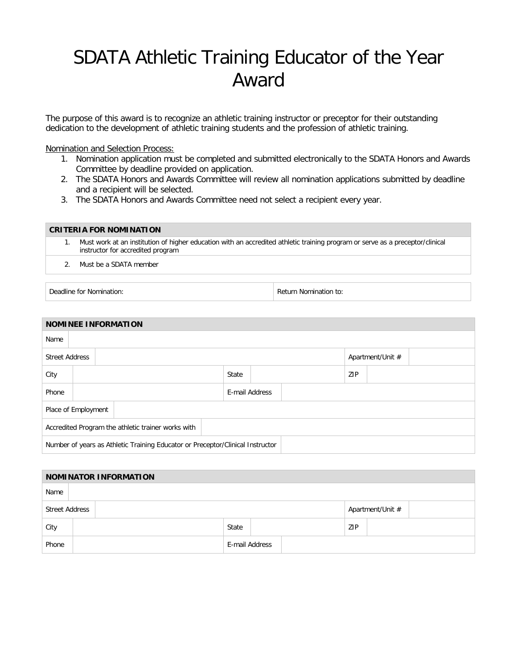## SDATA Athletic Training Educator of the Year Award

The purpose of this award is to recognize an athletic training instructor or preceptor for their outstanding dedication to the development of athletic training students and the profession of athletic training.

Nomination and Selection Process:

- 1. Nomination application must be completed and submitted electronically to the SDATA Honors and Awards Committee by deadline provided on application.
- 2. The SDATA Honors and Awards Committee will review all nomination applications submitted by deadline and a recipient will be selected.
- 3. The SDATA Honors and Awards Committee need not select a recipient every year.

| <b>CRITERIA FOR NOMINATION</b> |                                                                                                                                                                    |  |  |  |  |  |
|--------------------------------|--------------------------------------------------------------------------------------------------------------------------------------------------------------------|--|--|--|--|--|
|                                | Must work at an institution of higher education with an accredited athletic training program or serve as a preceptor/clinical<br>instructor for accredited program |  |  |  |  |  |
|                                | 2. Must be a SDATA member                                                                                                                                          |  |  |  |  |  |

Deadline for Nomination: The Contraction of the Contraction of the Return Nomination to:

| <b>NOMINEE INFORMATION</b>                                                     |                       |  |  |       |                |  |     |                  |  |  |  |
|--------------------------------------------------------------------------------|-----------------------|--|--|-------|----------------|--|-----|------------------|--|--|--|
| Name                                                                           |                       |  |  |       |                |  |     |                  |  |  |  |
|                                                                                | <b>Street Address</b> |  |  |       |                |  |     | Apartment/Unit # |  |  |  |
| City                                                                           |                       |  |  | State |                |  | ZIP |                  |  |  |  |
| Phone                                                                          |                       |  |  |       | E-mail Address |  |     |                  |  |  |  |
| Place of Employment                                                            |                       |  |  |       |                |  |     |                  |  |  |  |
| Accredited Program the athletic trainer works with                             |                       |  |  |       |                |  |     |                  |  |  |  |
| Number of years as Athletic Training Educator or Preceptor/Clinical Instructor |                       |  |  |       |                |  |     |                  |  |  |  |

| <b>NOMINATOR INFORMATION</b> |  |  |       |                |  |     |                  |  |  |
|------------------------------|--|--|-------|----------------|--|-----|------------------|--|--|
| Name                         |  |  |       |                |  |     |                  |  |  |
| <b>Street Address</b>        |  |  |       |                |  |     | Apartment/Unit # |  |  |
| City                         |  |  | State |                |  | ZIP |                  |  |  |
| Phone                        |  |  |       | E-mail Address |  |     |                  |  |  |